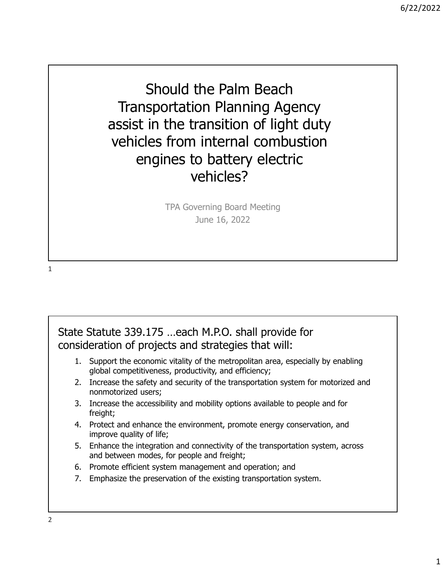Should the Palm Beach Transportation Planning Agency assist in the transition of light duty vehicles from internal combustion engines to battery electric vehicles?

> TPA Governing Board Meeting June 16, 2022

1

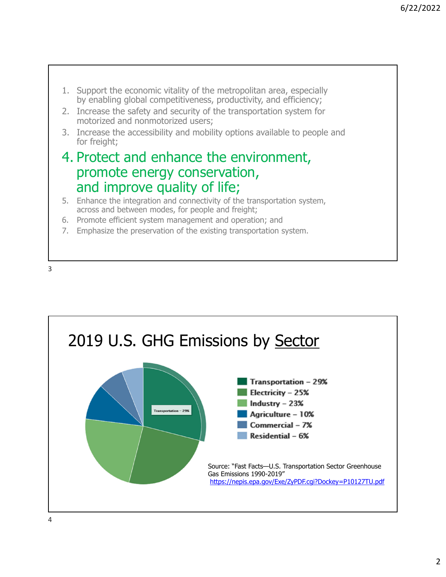- 1. Support the economic vitality of the metropolitan area, especially by enabling global competitiveness, productivity, and efficiency;
- 2. Increase the safety and security of the transportation system for motorized and nonmotorized users;
- 3. Increase the accessibility and mobility options available to people and for freight;

## 4. Protect and enhance the environment, promote energy conservation, and improve quality of life;

- 5. Enhance the integration and connectivity of the transportation system, across and between modes, for people and freight;
- 6. Promote efficient system management and operation; and
- 7. Emphasize the preservation of the existing transportation system.

3

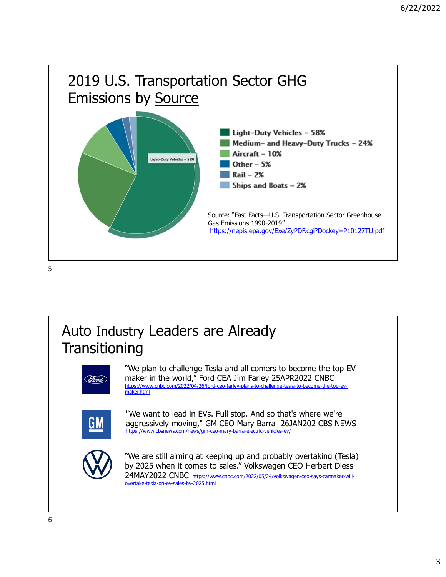

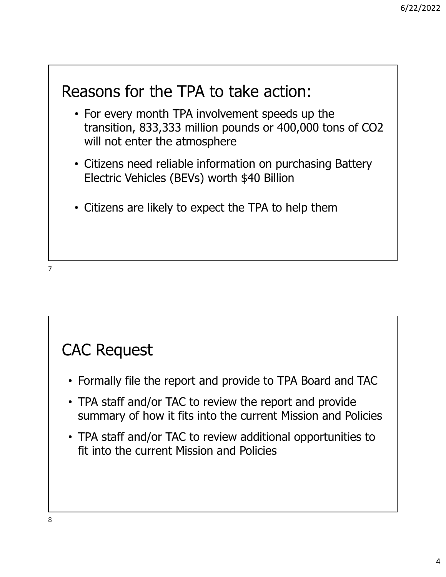## Reasons for the TPA to take action:

- For every month TPA involvement speeds up the transition, 833,333 million pounds or 400,000 tons of CO2 will not enter the atmosphere
- Citizens need reliable information on purchasing Battery Electric Vehicles (BEVs) worth \$40 Billion
- Citizens are likely to expect the TPA to help them

7

## CAC Request

- Formally file the report and provide to TPA Board and TAC
- TPA staff and/or TAC to review the report and provide summary of how it fits into the current Mission and Policies
- TPA staff and/or TAC to review additional opportunities to fit into the current Mission and Policies